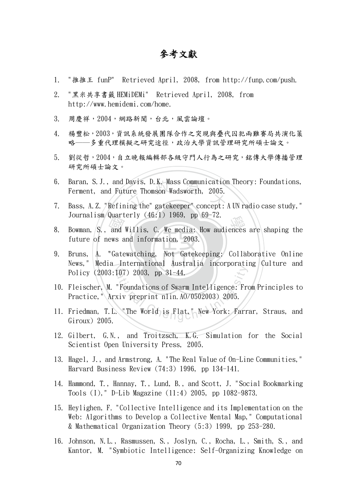## 參考文獻

- 1. "推推王 funP" Retrieved April, 2008, from http://funp.com/push.
- 2. "黑米共享書籤 HEMiDEMi" Retrieved April, 2008, from http://www.hemidemi.com/home.
- 3. 周慶祥,2004,網路新聞,台北,風雲論壇。
- 4. 楊豐松,2003,資訊系統發展團隊合作之突現與疊代囚犯兩難賽局共演化策 略——多重代理模擬之研究途徑,政治大學資訊管理研究所碩士論文。
- 5. 劉從哲,2004,自立晚報編輯部各級守門人行為之研究,銘傳大學傳播管理 研究所碩士論文。
- 6. Baran, S.J., and Davis, D.K. Mass Communication Theory: Foundations,<br>Ferment, and Future Thomson Wadsworth, 2005.<br>7. Bass, A.Z. "Refining the" gatekeeper" concept: A UN radio case study," 6. Baran, S.J., and Davis, D.K. Mass Communication Theory: Foundations, Ferment, and Future Thomson Wadsworth, 2005.
- Journalism Quarterly (46:1) 1969, pp 69-72.
- Sournarism Quarterly (40:1) 1909, pp 09-12.<br>
8. Bowman, S., and Willis, C. We media: How audiences are shaping the<br>
future of news and information, 2003.<br>
9. Bruns, A. "Gatewatching, Not Gatekeeping: Collaborative Online future of news and information, 2003.
- 9. Bruns, A. "Gatewatching, Not Gatekeeping: Collaborative Online N News," Media International Australia incorporating Culture and Policy (2003:107) 2003, pp 31-44.
- 107) 2003, pp 31-44.<br>"Foundations of Swarm Intelligence: Frontier (1997)<br>xiv preprint nlin. A0/0502003) 2005.<br>"The World is Flat," New York: Farr 10. Fleischer, M. "Foundations of Swarm Intelligence: From Principles to Practice," Arxiv preprint nlin.AO/0502003) 2005.
- 11. Friedman, T.L. "The World is Flat," New York: Farrar, Straus, and Giroux) 2005.
- 12. Gilbert, G.N., and Troitzsch, K.G. Simulation for the Social Scientist Open University Press, 2005.
- 13. Hagel, J., and Armstrong, A. "The Real Value of On-Line Communities," Harvard Business Review (74:3) 1996, pp 134-141.
- 14. Hammond, T., Hannay, T., Lund, B., and Scott, J. "Social Bookmarking Tools (I)," D-Lib Magazine (11:4) 2005, pp 1082-9873.
- 15. Heylighen, F. "Collective Intelligence and its Implementation on the Web: Algorithms to Develop a Collective Mental Map," Computational & Mathematical Organization Theory (5:3) 1999, pp 253-280.
- 16. Johnson, N.L., Rasmussen, S., Joslyn, C., Rocha, L., Smith, S., and Kantor, M. "Symbiotic Intelligence: Self-Organizing Knowledge on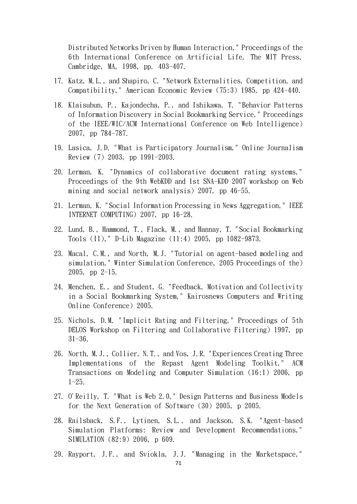Distributed Networks Driven by Human Interaction," Proceedings of the 6th International Conference on Artificial Life, The MIT Press, Cambridge, MA, 1998, pp. 403-407.

- 17. Katz, M.L., and Shapiro, C. "Network Externalities, Competition, and Compatibility," American Economic Review (75:3) 1985, pp 424-440.
- 18. Klaisubun, P., Kajondecha, P., and Ishikawa, T. "Behavior Patterns of Information Discovery in Social Bookmarking Service," Proceedings of the IEEE/WIC/ACM International Conference on Web Intelligence) 2007, pp 784-787.
- 19. Lasica, J.D. "What is Participatory Journalism," Online Journalism Review (7) 2003, pp 1991-2003.
- 20. Lerman, K. "Dynamics of collaborative document rating systems," Proceedings of the 9th WebKDD and 1st SNA-KDD 2007 workshop on Web mining and social network analysis) 2007, pp 46-55.
- 21. Lerman, K. "Social Information Processing in News Aggregation," IEEE INTERNET COMPUTING) 2007, pp 16-28.
- 22. Lund, B., Hammond, T., Flack, M., and Hannay, T. "Social Bookmarking Tools (II)," D-Lib Magazine (11:4) 2005, pp 1082-9873.
- 23. Macal, C.M., and North, M.J. "Tutorial on agent-based modeling and simulation," Winter Simulation Conference, 2005 Proceedings of the) 2005, pp 2-15.
- 24. Menchen, E., and Student, G. "Feedback, Motivation and Collectivity in a Social Bookmarking System," Kairosnews Computers and Writing Online Conference) 2005.
- 25. Nichols, D.M. "Implicit Rating and Filtering," Proceedings of 5th DELOS Workshop on Filtering and Collaborative Filtering) 1997, pp 31-36.
- 26. North, M.J., Collier, N.T., and Vos, J.R. "Experiences Creating Three Implementations of the Repast Agent Modeling Toolkit," ACM Transactions on Modeling and Computer Simulation (16:1) 2006, pp 1-25.
- 27. O'Reilly, T. "What is Web 2.0," Design Patterns and Business Models for the Next Generation of Software (30) 2005, p 2005.
- 28. Railsback, S.F., Lytinen, S.L., and Jackson, S.K. "Agent-based Simulation Platforms: Review and Development Recommendations," SIMULATION (82:9) 2006, p 609.
- 29. Rayport, J.F., and Sviokla, J.J. "Managing in the Marketspace,"